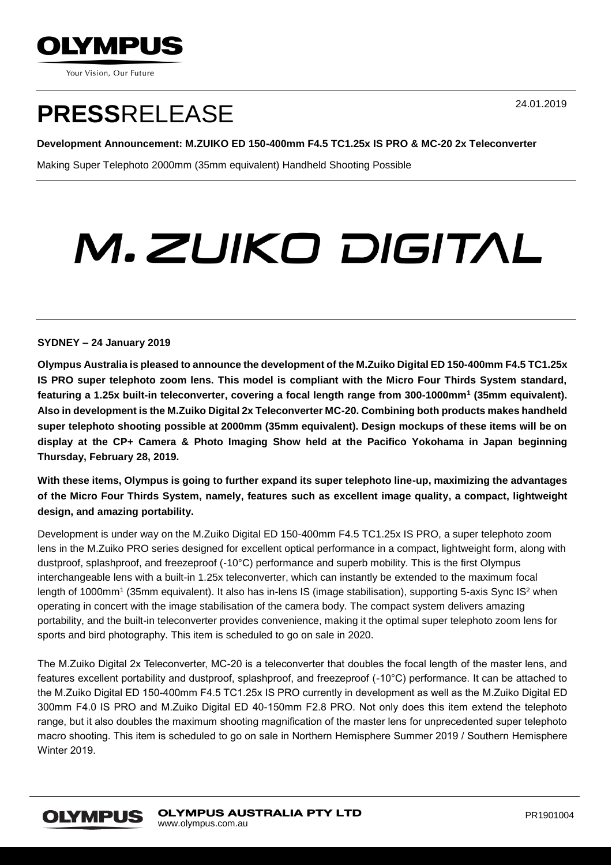

Your Vision, Our Future

## **PRESS**RELEASE

24.01.2019

### **Development Announcement: M.ZUIKO ED 150-400mm F4.5 TC1.25x IS PRO & MC-20 2x Teleconverter**

Making Super Telephoto 2000mm (35mm equivalent) Handheld Shooting Possible

# M.ZUIKO DIGITAL

#### **SYDNEY – 24 January 2019**

**Olympus Australia is pleased to announce the development of the M.Zuiko Digital ED 150-400mm F4.5 TC1.25x IS PRO super telephoto zoom lens. This model is compliant with the Micro Four Thirds System standard, featuring a 1.25x built-in teleconverter, covering a focal length range from 300-1000mm<sup>1</sup> (35mm equivalent). Also in development is the M.Zuiko Digital 2x Teleconverter MC-20. Combining both products makes handheld super telephoto shooting possible at 2000mm (35mm equivalent). Design mockups of these items will be on display at the CP+ Camera & Photo Imaging Show held at the Pacifico Yokohama in Japan beginning Thursday, February 28, 2019.**

**With these items, Olympus is going to further expand its super telephoto line-up, maximizing the advantages of the Micro Four Thirds System, namely, features such as excellent image quality, a compact, lightweight design, and amazing portability.**

Development is under way on the M.Zuiko Digital ED 150-400mm F4.5 TC1.25x IS PRO, a super telephoto zoom lens in the M.Zuiko PRO series designed for excellent optical performance in a compact, lightweight form, along with dustproof, splashproof, and freezeproof (-10°C) performance and superb mobility. This is the first Olympus interchangeable lens with a built-in 1.25x teleconverter, which can instantly be extended to the maximum focal length of 1000mm<sup>1</sup> (35mm equivalent). It also has in-lens IS (image stabilisation), supporting 5-axis Sync IS<sup>2</sup> when operating in concert with the image stabilisation of the camera body. The compact system delivers amazing portability, and the built-in teleconverter provides convenience, making it the optimal super telephoto zoom lens for sports and bird photography. This item is scheduled to go on sale in 2020.

The M.Zuiko Digital 2x Teleconverter, MC-20 is a teleconverter that doubles the focal length of the master lens, and features excellent portability and dustproof, splashproof, and freezeproof (-10°C) performance. It can be attached to the M.Zuiko Digital ED 150-400mm F4.5 TC1.25x IS PRO currently in development as well as the M.Zuiko Digital ED 300mm F4.0 IS PRO and M.Zuiko Digital ED 40-150mm F2.8 PRO. Not only does this item extend the telephoto range, but it also doubles the maximum shooting magnification of the master lens for unprecedented super telephoto macro shooting. This item is scheduled to go on sale in Northern Hemisphere Summer 2019 / Southern Hemisphere Winter 2019.